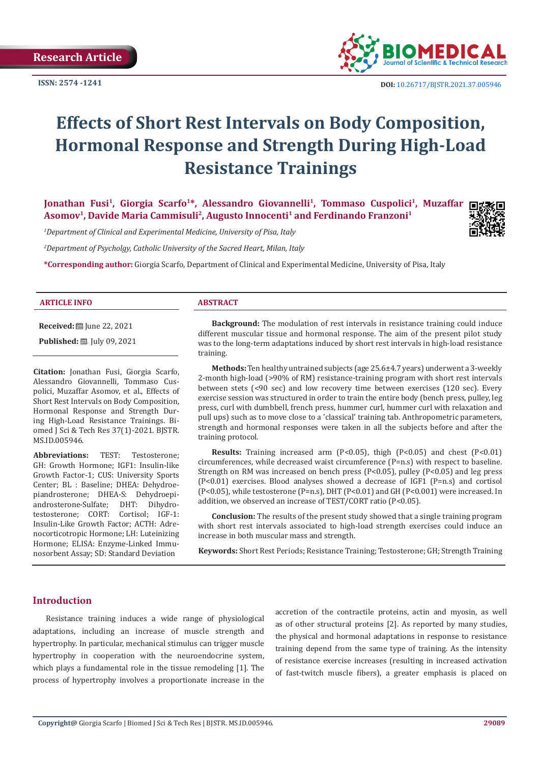**ISSN: 2574 -1241**



 **DOI:** [10.26717/BJSTR.2021.37.005946](https://dx.doi.org/10.26717/BJSTR.2021.37.005946)

# **Effects of Short Rest Intervals on Body Composition, Hormonal Response and Strength During High-Load Resistance Trainings**

Jonathan Fusi<sup>1</sup>, Giorgia Scarfo<sup>1\*</sup>, Alessandro Giovannelli<sup>1</sup>, Tommaso Cuspolici<sup>1</sup>, Muzaffar **Asomov1, Davide Maria Cammisuli2, Augusto Innocenti1 and Ferdinando Franzoni1**

*1 Department of Clinical and Experimental Medicine, University of Pisa, Italy*

*2 Department of Psycholgy, Catholic University of the Sacred Heart, Milan, Italy*

**\*Corresponding author:** Giorgia Scarfo, Department of Clinical and Experimental Medicine, University of Pisa, Italy

#### **ARTICLE INFO ABSTRACT**

**Received:** ■ June 22, 2021

**Published:** ■ July 09, 2021

**Citation:** Jonathan Fusi, Giorgia Scarfo, Alessandro Giovannelli, Tommaso Cuspolici, Muzaffar Asomov, et al., Effects of Short Rest Intervals on Body Composition, Hormonal Response and Strength During High-Load Resistance Trainings. Biomed J Sci & Tech Res 37(1)-2021. BJSTR. MS.ID.005946.

**Abbreviations:** TEST: Testosterone; GH: Growth Hormone; IGF1: Insulin-like Growth Factor-1; CUS: University Sports Center; BL : Baseline; DHEA: Dehydroepiandrosterone; DHEA-S: Dehydroepi-<br>androsterone-Sulfate; DHT: Dihydroandrosterone-Sulfate; DHT: Dihydrotestosterone; CORT: Insulin-Like Growth Factor; ACTH: Adrenocorticotropic Hormone; LH: Luteinizing Hormone; ELISA: Enzyme-Linked Immunosorbent Assay; SD: Standard Deviation

**Background:** The modulation of rest intervals in resistance training could induce different muscular tissue and hormonal response. The aim of the present pilot study was to the long-term adaptations induced by short rest intervals in high-load resistance training.

**Methods:** Ten healthy untrained subjects (age 25.6±4.7 years) underwent a 3-weekly 2-month high-load (>90% of RM) resistance-training program with short rest intervals between stets (<90 sec) and low recovery time between exercises (120 sec). Every exercise session was structured in order to train the entire body (bench press, pulley, leg press, curl with dumbbell, french press, hummer curl, hummer curl with relaxation and pull ups) such as to move close to a 'classical' training tab. Anthropometric parameters, strength and hormonal responses were taken in all the subjects before and after the training protocol.

**Results:** Training increased arm (P<0.05), thigh (P<0.05) and chest (P<0.01) circumferences, while decreased waist circumference (P=n.s) with respect to baseline. Strength on RM was increased on bench press (P<0.05), pulley (P<0.05) and leg press (P<0.01) exercises. Blood analyses showed a decrease of IGF1 (P=n.s) and cortisol (P<0.05), while testosterone (P=n.s), DHT (P<0.01) and GH (P<0.001) were increased. In addition, we observed an increase of TEST/CORT ratio (P<0.05).

**Conclusion:** The results of the present study showed that a single training program with short rest intervals associated to high-load strength exercises could induce an increase in both muscular mass and strength.

**Keywords:** Short Rest Periods; Resistance Training; Testosterone; GH; Strength Training

# **Introduction**

Resistance training induces a wide range of physiological adaptations, including an increase of muscle strength and hypertrophy. In particular, mechanical stimulus can trigger muscle hypertrophy in cooperation with the neuroendocrine system, which plays a fundamental role in the tissue remodeling [1]. The process of hypertrophy involves a proportionate increase in the accretion of the contractile proteins, actin and myosin, as well as of other structural proteins [2]. As reported by many studies, the physical and hormonal adaptations in response to resistance training depend from the same type of training. As the intensity of resistance exercise increases (resulting in increased activation of fast-twitch muscle fibers), a greater emphasis is placed on

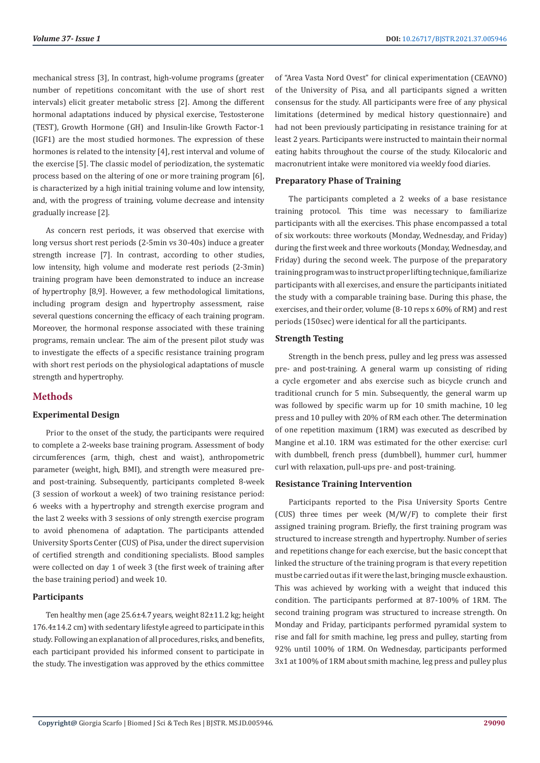mechanical stress [3], In contrast, high-volume programs (greater number of repetitions concomitant with the use of short rest intervals) elicit greater metabolic stress [2]. Among the different hormonal adaptations induced by physical exercise, Testosterone (TEST), Growth Hormone (GH) and Insulin-like Growth Factor-1 (IGF1) are the most studied hormones. The expression of these hormones is related to the intensity [4], rest interval and volume of the exercise [5]. The classic model of periodization, the systematic process based on the altering of one or more training program [6], is characterized by a high initial training volume and low intensity, and, with the progress of training, volume decrease and intensity gradually increase [2].

As concern rest periods, it was observed that exercise with long versus short rest periods (2-5min vs 30-40s) induce a greater strength increase [7]. In contrast, according to other studies, low intensity, high volume and moderate rest periods (2-3min) training program have been demonstrated to induce an increase of hypertrophy [8,9]. However, a few methodological limitations, including program design and hypertrophy assessment, raise several questions concerning the efficacy of each training program. Moreover, the hormonal response associated with these training programs, remain unclear. The aim of the present pilot study was to investigate the effects of a specific resistance training program with short rest periods on the physiological adaptations of muscle strength and hypertrophy.

# **Methods**

#### **Experimental Design**

Prior to the onset of the study, the participants were required to complete a 2-weeks base training program. Assessment of body circumferences (arm, thigh, chest and waist), anthropometric parameter (weight, high, BMI), and strength were measured preand post-training. Subsequently, participants completed 8-week (3 session of workout a week) of two training resistance period: 6 weeks with a hypertrophy and strength exercise program and the last 2 weeks with 3 sessions of only strength exercise program to avoid phenomena of adaptation. The participants attended University Sports Center (CUS) of Pisa, under the direct supervision of certified strength and conditioning specialists. Blood samples were collected on day 1 of week 3 (the first week of training after the base training period) and week 10.

# **Participants**

Ten healthy men (age 25.6±4.7 years, weight 82±11.2 kg; height 176.4±14.2 cm) with sedentary lifestyle agreed to participate in this study. Following an explanation of all procedures, risks, and benefits, each participant provided his informed consent to participate in the study. The investigation was approved by the ethics committee

of "Area Vasta Nord Ovest" for clinical experimentation (CEAVNO) of the University of Pisa, and all participants signed a written consensus for the study. All participants were free of any physical limitations (determined by medical history questionnaire) and had not been previously participating in resistance training for at least 2 years. Participants were instructed to maintain their normal eating habits throughout the course of the study. Kilocaloric and macronutrient intake were monitored via weekly food diaries.

#### **Preparatory Phase of Training**

The participants completed a 2 weeks of a base resistance training protocol. This time was necessary to familiarize participants with all the exercises. This phase encompassed a total of six workouts: three workouts (Monday, Wednesday, and Friday) during the first week and three workouts (Monday, Wednesday, and Friday) during the second week. The purpose of the preparatory training program was to instruct proper lifting technique, familiarize participants with all exercises, and ensure the participants initiated the study with a comparable training base. During this phase, the exercises, and their order, volume (8-10 reps x 60% of RM) and rest periods (150sec) were identical for all the participants.

#### **Strength Testing**

Strength in the bench press, pulley and leg press was assessed pre- and post-training. A general warm up consisting of riding a cycle ergometer and abs exercise such as bicycle crunch and traditional crunch for 5 min. Subsequently, the general warm up was followed by specific warm up for 10 smith machine, 10 leg press and 10 pulley with 20% of RM each other. The determination of one repetition maximum (1RM) was executed as described by Mangine et al.10. 1RM was estimated for the other exercise: curl with dumbbell, french press (dumbbell), hummer curl, hummer curl with relaxation, pull-ups pre- and post-training.

#### **Resistance Training Intervention**

Participants reported to the Pisa University Sports Centre (CUS) three times per week (M/W/F) to complete their first assigned training program. Briefly, the first training program was structured to increase strength and hypertrophy. Number of series and repetitions change for each exercise, but the basic concept that linked the structure of the training program is that every repetition must be carried out as if it were the last, bringing muscle exhaustion. This was achieved by working with a weight that induced this condition. The participants performed at 87-100% of 1RM. The second training program was structured to increase strength. On Monday and Friday, participants performed pyramidal system to rise and fall for smith machine, leg press and pulley, starting from 92% until 100% of 1RM. On Wednesday, participants performed 3x1 at 100% of 1RM about smith machine, leg press and pulley plus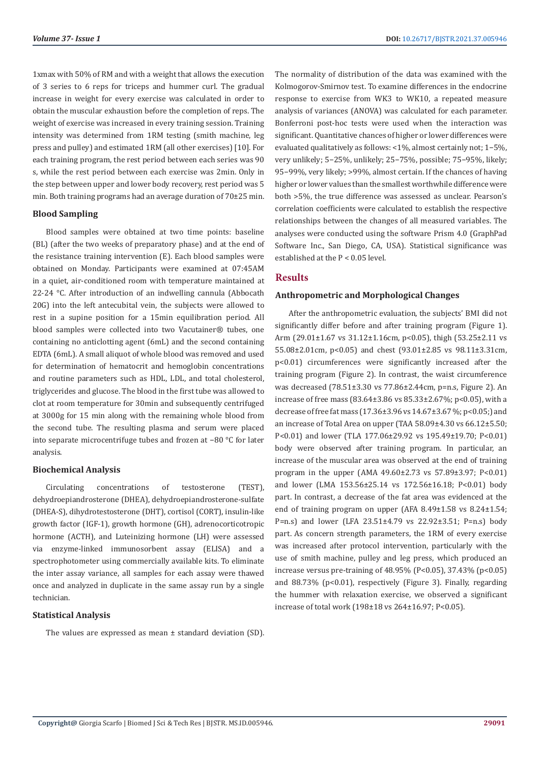1xmax with 50% of RM and with a weight that allows the execution of 3 series to 6 reps for triceps and hummer curl. The gradual increase in weight for every exercise was calculated in order to obtain the muscular exhaustion before the completion of reps. The weight of exercise was increased in every training session. Training intensity was determined from 1RM testing (smith machine, leg press and pulley) and estimated 1RM (all other exercises) [10]. For each training program, the rest period between each series was 90 s, while the rest period between each exercise was 2min. Only in the step between upper and lower body recovery, rest period was 5 min. Both training programs had an average duration of 70±25 min.

### **Blood Sampling**

Blood samples were obtained at two time points: baseline (BL) (after the two weeks of preparatory phase) and at the end of the resistance training intervention (E). Each blood samples were obtained on Monday. Participants were examined at 07:45AM in a quiet, air-conditioned room with temperature maintained at 22-24 °C. After introduction of an indwelling cannula (Abbocath 20G) into the left antecubital vein, the subjects were allowed to rest in a supine position for a 15min equilibration period. All blood samples were collected into two Vacutainer® tubes, one containing no anticlotting agent (6mL) and the second containing EDTA (6mL). A small aliquot of whole blood was removed and used for determination of hematocrit and hemoglobin concentrations and routine parameters such as HDL, LDL, and total cholesterol, triglycerides and glucose. The blood in the first tube was allowed to clot at room temperature for 30min and subsequently centrifuged at 3000g for 15 min along with the remaining whole blood from the second tube. The resulting plasma and serum were placed into separate microcentrifuge tubes and frozen at −80 °C for later analysis.

#### **Biochemical Analysis**

Circulating concentrations of testosterone (TEST), dehydroepiandrosterone (DHEA), dehydroepiandrosterone-sulfate (DHEA-S), dihydrotestosterone (DHT), cortisol (CORT), insulin-like growth factor (IGF-1), growth hormone (GH), adrenocorticotropic hormone (ACTH), and Luteinizing hormone (LH) were assessed via enzyme-linked immunosorbent assay (ELISA) and a spectrophotometer using commercially available kits. To eliminate the inter assay variance, all samples for each assay were thawed once and analyzed in duplicate in the same assay run by a single technician.

#### **Statistical Analysis**

The values are expressed as mean ± standard deviation (SD).

The normality of distribution of the data was examined with the Kolmogorov-Smirnov test. To examine differences in the endocrine response to exercise from WK3 to WK10, a repeated measure analysis of variances (ANOVA) was calculated for each parameter. Bonferroni post-hoc tests were used when the interaction was significant. Quantitative chances of higher or lower differences were evaluated qualitatively as follows: <1%, almost certainly not; 1−5%, very unlikely; 5−25%, unlikely; 25−75%, possible; 75−95%, likely; 95−99%, very likely; >99%, almost certain. If the chances of having higher or lower values than the smallest worthwhile difference were both >5%, the true difference was assessed as unclear. Pearson's correlation coefficients were calculated to establish the respective relationships between the changes of all measured variables. The analyses were conducted using the software Prism 4.0 (GraphPad Software Inc., San Diego, CA, USA). Statistical significance was established at the P < 0.05 level.

# **Results**

#### **Anthropometric and Morphological Changes**

After the anthropometric evaluation, the subjects' BMI did not significantly differ before and after training program (Figure 1). Arm (29.01±1.67 vs 31.12±1.16cm, p<0.05), thigh (53.25±2.11 vs 55.08±2.01cm, p<0.05) and chest (93.01±2.85 vs 98.11±3.31cm, p<0.01) circumferences were significantly increased after the training program (Figure 2). In contrast, the waist circumference was decreased (78.51±3.30 vs 77.86±2.44cm, p=n.s, Figure 2). An increase of free mass (83.64±3.86 vs 85.33±2.67%; p<0.05), with a decrease of free fat mass (17.36±3.96 vs 14.67±3.67 %; p<0.05;) and an increase of Total Area on upper (TAA 58.09±4.30 vs 66.12±5.50; P<0.01) and lower (TLA 177.06±29.92 vs 195.49±19.70; P<0.01) body were observed after training program. In particular, an increase of the muscular area was observed at the end of training program in the upper (AMA 49.60±2.73 vs 57.89±3.97; P<0.01) and lower (LMA 153.56±25.14 vs 172.56±16.18; P<0.01) body part. In contrast, a decrease of the fat area was evidenced at the end of training program on upper (AFA 8.49±1.58 vs 8.24±1.54; P=n.s) and lower (LFA 23.51±4.79 vs 22.92±3.51; P=n.s) body part. As concern strength parameters, the 1RM of every exercise was increased after protocol intervention, particularly with the use of smith machine, pulley and leg press, which produced an increase versus pre-training of 48.95% (P<0.05), 37.43% (p<0.05) and 88.73% (p<0.01), respectively (Figure 3). Finally, regarding the hummer with relaxation exercise, we observed a significant increase of total work (198±18 vs 264±16.97; P<0.05).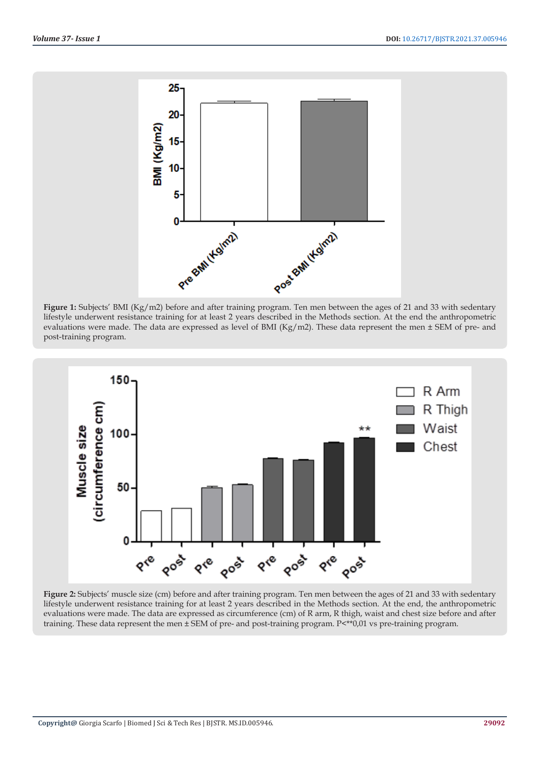





**Figure 2:** Subjects' muscle size (cm) before and after training program. Ten men between the ages of 21 and 33 with sedentary lifestyle underwent resistance training for at least 2 years described in the Methods section. At the end, the anthropometric evaluations were made. The data are expressed as circumference (cm) of R arm, R thigh, waist and chest size before and after training. These data represent the men ± SEM of pre- and post-training program. P<\*\*0,01 vs pre-training program.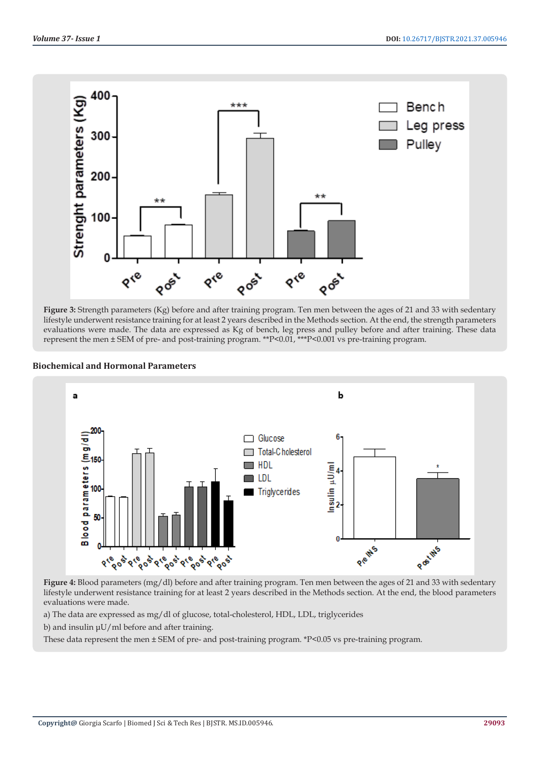

**Figure 3:** Strength parameters (Kg) before and after training program. Ten men between the ages of 21 and 33 with sedentary lifestyle underwent resistance training for at least 2 years described in the Methods section. At the end, the strength parameters evaluations were made. The data are expressed as Kg of bench, leg press and pulley before and after training. These data represent the men ± SEM of pre- and post-training program. \*\*P<0.01, \*\*\*P<0.001 vs pre-training program.



# **Biochemical and Hormonal Parameters**

**Figure 4:** Blood parameters (mg/dl) before and after training program. Ten men between the ages of 21 and 33 with sedentary lifestyle underwent resistance training for at least 2 years described in the Methods section. At the end, the blood parameters evaluations were made.

a) The data are expressed as mg/dl of glucose, total-cholesterol, HDL, LDL, triglycerides

b) and insulin μU/ml before and after training.

These data represent the men ± SEM of pre- and post-training program. \*P<0.05 vs pre-training program.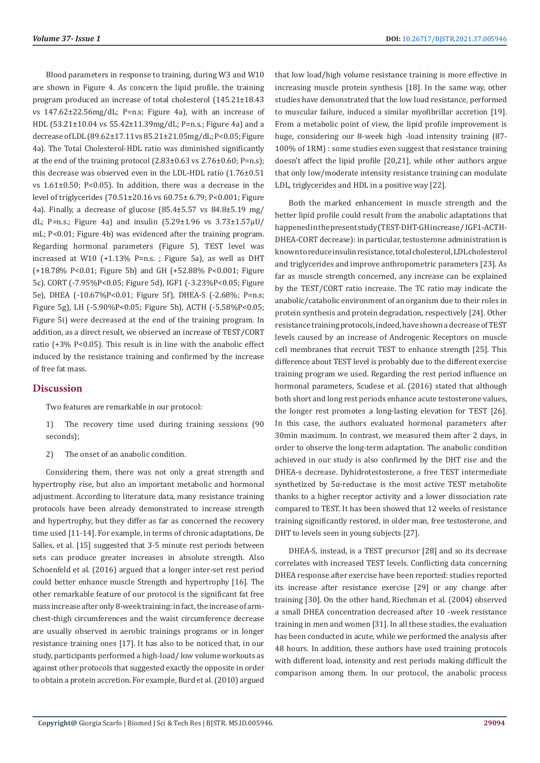Blood parameters in response to training, during W3 and W10 are shown in Figure 4. As concern the lipid profile, the training program produced an increase of total cholesterol (145.21±18.43 vs 147.62±22.56mg/dL; P=n.s; Figure 4a), with an increase of HDL (53.21±10.04 vs 55.42±11.39mg/dL; P=n.s.; Figure 4a) and a decrease of LDL (89.62±17.11 vs 85.21±21.05mg/dL; P<0.05; Figure 4a). The Total Cholesterol-HDL ratio was diminished significantly at the end of the training protocol (2.83±0.63 vs 2.76±0.60; P=n.s); this decrease was observed even in the LDL-HDL ratio (1.76±0.51 vs 1.61±0.50; P<0.05). In addition, there was a decrease in the level of triglycerides (70.51±20.16 vs 60.75± 6.79; P<0.001; Figure 4a). Finally, a decrease of glucose (85.4±5.57 vs 84.8±5.19 mg/ dL; P=n.s.; Figure 4a) and insulin  $(5.29 \pm 1.96$  vs  $3.73 \pm 1.57 \mu U$ mL; P<0.01; Figure 4b) was evidenced after the training program. Regarding hormonal parameters (Figure 5), TEST level was increased at W10 (+1.13% P=n.s. ; Figure 5a), as well as DHT (+18.78% P<0.01; Figure 5b) and GH (+52.88% P<0.001; Figure 5c). CORT (-7.95%P<0.05; Figure 5d), IGF1 (-3.23%P<0.05; Figure 5e), DHEA (-10.67%P<0.01; Figure 5f), DHEA-S (-2.68%; P=n.s; Figure 5g), LH (-5.90%P<0.05; Figure 5h), ACTH (-5.58%P<0.05; Figure 5i) were decreased at the end of the training program. In addition, as a direct result, we observed an increase of TEST/CORT ratio (+3% P<0.05). This result is in line with the anabolic effect induced by the resistance training and confirmed by the increase of free fat mass.

# **Discussion**

Two features are remarkable in our protocol:

1) The recovery time used during training sessions (90 seconds);

2) The onset of an anabolic condition.

Considering them, there was not only a great strength and hypertrophy rise, but also an important metabolic and hormonal adjustment. According to literature data, many resistance training protocols have been already demonstrated to increase strength and hypertrophy, but they differ as far as concerned the recovery time used [11-14]. For example, in terms of chronic adaptations, De Salles, et al. [15] suggested that 3-5 minute rest periods between sets can produce greater increases in absolute strength. Also Schoenfeld et al. (2016) argued that a longer inter-set rest period could better enhance muscle Strength and hypertrophy [16]. The other remarkable feature of our protocol is the significant fat free mass increase after only 8-week training: in fact, the increase of armchest-thigh circumferences and the waist circumference decrease are usually observed in aerobic trainings programs or in longer resistance training ones [17]. It has also to be noticed that, in our study, participants performed a high-load/ low volume workouts as against other protocols that suggested exactly the opposite in order to obtain a protein accretion. For example, Burd et al. (2010) argued

that low load/high volume resistance training is more effective in increasing muscle protein synthesis [18]. In the same way, other studies have demonstrated that the low load resistance, performed to muscular failure, induced a similar myofibrillar accretion [19]. From a metabolic point of view, the lipid profile improvement is huge, considering our 8-week high -load intensity training (87- 100% of 1RM) : some studies even suggest that resistance training doesn't affect the lipid profile [20,21], while other authors argue that only low/moderate intensity resistance training can modulate LDL, triglycerides and HDL in a positive way [22].

Both the marked enhancement in muscle strength and the better lipid profile could result from the anabolic adaptations that happened in the present study (TEST-DHT-GH increase / IGF1-ACTH-DHEA-CORT decrease): in particular, testosterone administration is known to reduce insulin resistance, total cholesterol, LDL cholesterol and triglycerides and improve anthropometric parameters [23]. As far as muscle strength concerned, any increase can be explained by the TEST/CORT ratio increase. The TC ratio may indicate the anabolic/catabolic environment of an organism due to their roles in protein synthesis and protein degradation, respectively [24]. Other resistance training protocols, indeed, have shown a decrease of TEST levels caused by an increase of Androgenic Receptors on muscle cell membranes that recruit TEST to enhance strength [25]. This difference about TEST level is probably due to the different exercise training program we used. Regarding the rest period influence on hormonal parameters, Scudese et al. (2016) stated that although both short and long rest periods enhance acute testosterone values, the longer rest promotes a long-lasting elevation for TEST [26]. In this case, the authors evaluated hormonal parameters after 30min maximum. In contrast, we measured them after 2 days, in order to observe the long-term adaptation. The anabolic condition achieved in our study is also confirmed by the DHT rise and the DHEA-s decrease. Dyhidrotestosterone, a free TEST intermediate synthetized by 5α-reductase is the most active TEST metabolite thanks to a higher receptor activity and a lower dissociation rate compared to TEST. It has been showed that 12 weeks of resistance training significantly restored, in older man, free testosterone, and DHT to levels seen in young subjects [27].

DHEA-S, instead, is a TEST precursor [28] and so its decrease correlates with increased TEST levels. Conflicting data concerning DHEA response after exercise have been reported: studies reported its increase after resistance exercise [29] or any change after training [30]. On the other hand, Riechman et al. (2004) observed a small DHEA concentration decreased after 10 -week resistance training in men and women [31]. In all these studies, the evaluation has been conducted in acute, while we performed the analysis after 48 hours. In addition, these authors have used training protocols with different load, intensity and rest periods making difficult the comparison among them. In our protocol, the anabolic process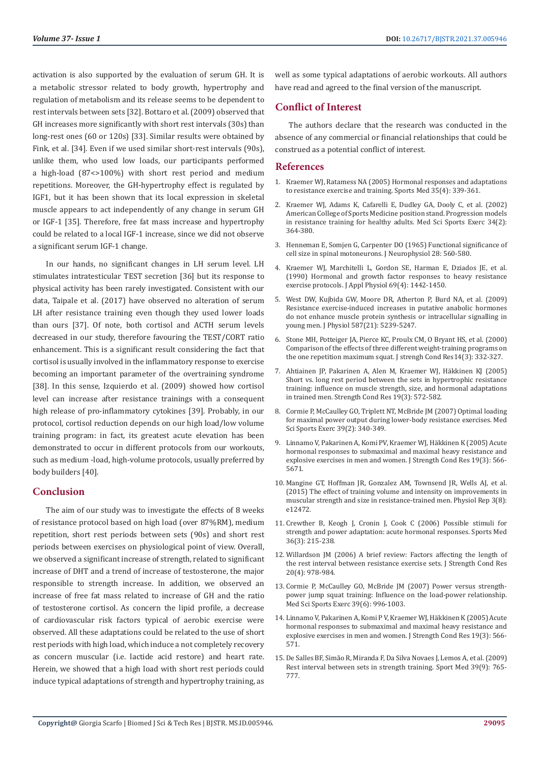activation is also supported by the evaluation of serum GH. It is a metabolic stressor related to body growth, hypertrophy and regulation of metabolism and its release seems to be dependent to rest intervals between sets [32]. Bottaro et al. (2009) observed that GH increases more significantly with short rest intervals (30s) than long-rest ones (60 or 120s) [33]. Similar results were obtained by Fink, et al. [34]. Even if we used similar short-rest intervals (90s), unlike them, who used low loads, our participants performed a high-load (87<>100%) with short rest period and medium repetitions. Moreover, the GH-hypertrophy effect is regulated by IGF1, but it has been shown that its local expression in skeletal muscle appears to act independently of any change in serum GH or IGF-1 [35]. Therefore, free fat mass increase and hypertrophy could be related to a local IGF-1 increase, since we did not observe a significant serum IGF-1 change.

In our hands, no significant changes in LH serum level. LH stimulates intratesticular TEST secretion [36] but its response to physical activity has been rarely investigated. Consistent with our data, Taipale et al. (2017) have observed no alteration of serum LH after resistance training even though they used lower loads than ours [37]. Of note, both cortisol and ACTH serum levels decreased in our study, therefore favouring the TEST/CORT ratio enhancement. This is a significant result considering the fact that cortisol is usually involved in the inflammatory response to exercise becoming an important parameter of the overtraining syndrome [38]. In this sense, Izquierdo et al. (2009) showed how cortisol level can increase after resistance trainings with a consequent high release of pro-inflammatory cytokines [39]. Probably, in our protocol, cortisol reduction depends on our high load/low volume training program: in fact, its greatest acute elevation has been demonstrated to occur in different protocols from our workouts, such as medium -load, high-volume protocols, usually preferred by body builders [40].

# **Conclusion**

The aim of our study was to investigate the effects of 8 weeks of resistance protocol based on high load (over 87%RM), medium repetition, short rest periods between sets (90s) and short rest periods between exercises on physiological point of view. Overall, we observed a significant increase of strength, related to significant increase of DHT and a trend of increase of testosterone, the major responsible to strength increase. In addition, we observed an increase of free fat mass related to increase of GH and the ratio of testosterone cortisol. As concern the lipid profile, a decrease of cardiovascular risk factors typical of aerobic exercise were observed. All these adaptations could be related to the use of short rest periods with high load, which induce a not completely recovery as concern muscular (i.e. lactide acid restore) and heart rate. Herein, we showed that a high load with short rest periods could induce typical adaptations of strength and hypertrophy training, as

well as some typical adaptations of aerobic workouts. All authors have read and agreed to the final version of the manuscript.

# **Conflict of Interest**

The authors declare that the research was conducted in the absence of any commercial or financial relationships that could be construed as a potential conflict of interest.

# **References**

- 1. [Kraemer WJ, Ratamess NA \(2005\) Hormonal responses and adaptations](https://pubmed.ncbi.nlm.nih.gov/15831061/) [to resistance exercise and training. Sports Med 35\(4\): 339-361.](https://pubmed.ncbi.nlm.nih.gov/15831061/)
- 2. [Kraemer WJ, Adams K, Cafarelli E, Dudley GA, Dooly C, et al. \(2002\)](https://pubmed.ncbi.nlm.nih.gov/11828249/) [American College of Sports Medicine position stand. Progression models](https://pubmed.ncbi.nlm.nih.gov/11828249/) [in resistance training for healthy adults. Med Sci Sports Exerc 34\(2\):](https://pubmed.ncbi.nlm.nih.gov/11828249/) [364-380.](https://pubmed.ncbi.nlm.nih.gov/11828249/)
- 3. [Henneman E, Somjen G, Carpenter DO \(1965\) Functional significance of](https://pubmed.ncbi.nlm.nih.gov/14328454/) [cell size in spinal motoneurons. J Neurophysiol 28: 560-580.](https://pubmed.ncbi.nlm.nih.gov/14328454/)
- 4. [Kraemer WJ, Marchitelli L, Gordon SE, Harman E, Dziados JE, et al.](file:///F:/Journals/BJSTR.MS.ID.005946-SI/BJSTR-DRG-21-RA-218_SI_W/BJSTR-DRG-21-RA-218_SI_W/4.%09Kraemer%20WJ,%20Marchitelli%20L,%20Gordon%20SE,%20Harman%20E,%20Dziados%20JE,%20et%20al.%20(1990)%20Hormonal%20and%20growth%20factor%20responses%20to%20heavy%20resistance%20exercise%20protocols.%20J%20Appl%20Physiol%20(1985).%2069(4):%201442-1450.) [\(1990\) Hormonal and growth factor responses to heavy resistance](file:///F:/Journals/BJSTR.MS.ID.005946-SI/BJSTR-DRG-21-RA-218_SI_W/BJSTR-DRG-21-RA-218_SI_W/4.%09Kraemer%20WJ,%20Marchitelli%20L,%20Gordon%20SE,%20Harman%20E,%20Dziados%20JE,%20et%20al.%20(1990)%20Hormonal%20and%20growth%20factor%20responses%20to%20heavy%20resistance%20exercise%20protocols.%20J%20Appl%20Physiol%20(1985).%2069(4):%201442-1450.) [exercise protocols. J Appl Physiol 69\(4\): 1442-1450.](file:///F:/Journals/BJSTR.MS.ID.005946-SI/BJSTR-DRG-21-RA-218_SI_W/BJSTR-DRG-21-RA-218_SI_W/4.%09Kraemer%20WJ,%20Marchitelli%20L,%20Gordon%20SE,%20Harman%20E,%20Dziados%20JE,%20et%20al.%20(1990)%20Hormonal%20and%20growth%20factor%20responses%20to%20heavy%20resistance%20exercise%20protocols.%20J%20Appl%20Physiol%20(1985).%2069(4):%201442-1450.)
- 5. [West DW, Kujbida GW, Moore DR, Atherton P, Burd NA, et al. \(2009\)](https://pubmed.ncbi.nlm.nih.gov/19736298/) [Resistance exercise-induced increases in putative anabolic hormones](https://pubmed.ncbi.nlm.nih.gov/19736298/) [do not enhance muscle protein synthesis or intracellular signalling in](https://pubmed.ncbi.nlm.nih.gov/19736298/) [young men. J Physiol 587\(21\): 5239-5247.](https://pubmed.ncbi.nlm.nih.gov/19736298/)
- 6. [Stone MH, Potteiger JA, Pierce KC, Proulx CM, O Bryant HS, et al. \(2000\)](https://paulogentil.com/pdf/S5.pdf) [Comparison of the effects of three different weight-training programs on](https://paulogentil.com/pdf/S5.pdf) [the one repetition maximum squat. J strengh Cond Res14\(3\): 332-327.](https://paulogentil.com/pdf/S5.pdf)
- 7. [Ahtiainen JP, Pakarinen A, Alen M, Kraemer WJ, Häkkinen KJ \(2005\)](https://pubmed.ncbi.nlm.nih.gov/16095405/) [Short vs. long rest period between the sets in hypertrophic resistance](https://pubmed.ncbi.nlm.nih.gov/16095405/) [training: influence on muscle strength, size, and hormonal adaptations](https://pubmed.ncbi.nlm.nih.gov/16095405/) [in trained men. Strength Cond Res 19\(3\): 572-582.](https://pubmed.ncbi.nlm.nih.gov/16095405/)
- 8. [Cormie P, McCaulley GO, Triplett NT, McBride JM \(2007\) Optimal loading](https://pubmed.ncbi.nlm.nih.gov/17277599/) [for maximal power output during lower-body resistance exercises. Med](https://pubmed.ncbi.nlm.nih.gov/17277599/) [Sci Sports Exerc 39\(2\): 340-349.](https://pubmed.ncbi.nlm.nih.gov/17277599/)
- 9. [Linnamo V, Pakarinen A, Komi PV, Kraemer WJ, Häkkinen K \(2005\) Acute](https://pubmed.ncbi.nlm.nih.gov/16095404/) [hormonal responses to submaximal and maximal heavy resistance and](https://pubmed.ncbi.nlm.nih.gov/16095404/) [explosive exercises in men and women. J Strength Cond Res 19\(3\): 566-](https://pubmed.ncbi.nlm.nih.gov/16095404/) [5671.](https://pubmed.ncbi.nlm.nih.gov/16095404/)
- 10. [Mangine GT, Hoffman JR, Gonzalez AM, Townsend JR, Wells AJ, et al.](https://pubmed.ncbi.nlm.nih.gov/26272733/) [\(2015\) The effect of training volume and intensity on improvements in](https://pubmed.ncbi.nlm.nih.gov/26272733/) [muscular strength and size in resistance-trained men. Physiol Rep 3\(8\):](https://pubmed.ncbi.nlm.nih.gov/26272733/) [e12472.](https://pubmed.ncbi.nlm.nih.gov/26272733/)
- 11. [Crewther B, Keogh J, Cronin J, Cook C \(2006\) Possible stimuli for](https://pubmed.ncbi.nlm.nih.gov/16526834/) [strength and power adaptation: acute hormonal responses. Sports Med](https://pubmed.ncbi.nlm.nih.gov/16526834/) [36\(3\): 215-238.](https://pubmed.ncbi.nlm.nih.gov/16526834/)
- 12. [Willardson JM \(2006\) A brief review: Factors affecting the length of](https://pubmed.ncbi.nlm.nih.gov/17194236/) [the rest interval between resistance exercise sets. J Strength Cond Res](https://pubmed.ncbi.nlm.nih.gov/17194236/) [20\(4\): 978-984.](https://pubmed.ncbi.nlm.nih.gov/17194236/)
- 13. [Cormie P, McCaulley GO, McBride JM \(2007\) Power versus strength](https://pubmed.ncbi.nlm.nih.gov/17545891/)[power jump squat training: Influence on the load-power relationship.](https://pubmed.ncbi.nlm.nih.gov/17545891/) [Med Sci Sports Exerc 39\(6\): 996-1003.](https://pubmed.ncbi.nlm.nih.gov/17545891/)
- 14. [Linnamo V, Pakarinen A, Komi P V, Kraemer WJ, Häkkinen K \(2005\) Acute](https://pubmed.ncbi.nlm.nih.gov/16095404/) [hormonal responses to submaximal and maximal heavy resistance and](https://pubmed.ncbi.nlm.nih.gov/16095404/) [explosive exercises in men and women. J Strength Cond Res 19\(3\): 566-](https://pubmed.ncbi.nlm.nih.gov/16095404/) [571.](https://pubmed.ncbi.nlm.nih.gov/16095404/)
- 15. [De Salles BF, Simão R, Miranda F, Da Silva Novaes J, Lemos A, et al. \(2009\)](https://pubmed.ncbi.nlm.nih.gov/19691365/) [Rest interval between sets in strength training. Sport Med 39\(9\): 765-](https://pubmed.ncbi.nlm.nih.gov/19691365/) [777.](https://pubmed.ncbi.nlm.nih.gov/19691365/)